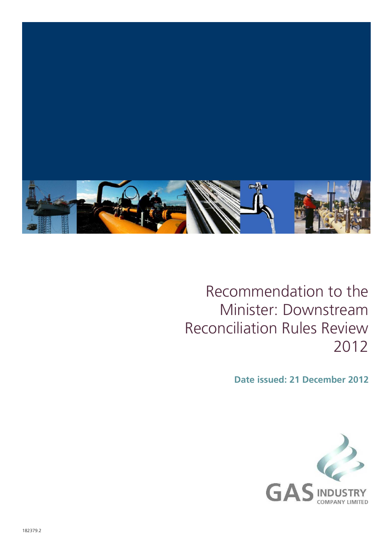

#### Recommendation to the Minister: Downstream Reconciliation Rules Review 2012

**Date issued: 21 December 2012**

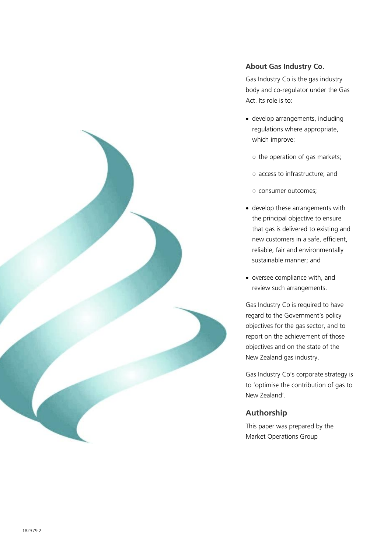

#### **About Gas Industry Co.**

Gas Industry Co is the gas industry body and co-regulator under the Gas Act. Its role is to:

- develop arrangements, including regulations where appropriate, which improve:
	- the operation of gas markets;
	- access to infrastructure; and
	- consumer outcomes;
- develop these arrangements with the principal objective to ensure that gas is delivered to existing and new customers in a safe, efficient, reliable, fair and environmentally sustainable manner; and
- oversee compliance with, and review such arrangements.

Gas Industry Co is required to have regard to the Government's policy objectives for the gas sector, and to report on the achievement of those objectives and on the state of the New Zealand gas industry.

Gas Industry Co's corporate strategy is to 'optimise the contribution of gas to New Zealand'.

#### **Authorship**

This paper was prepared by the Market Operations Group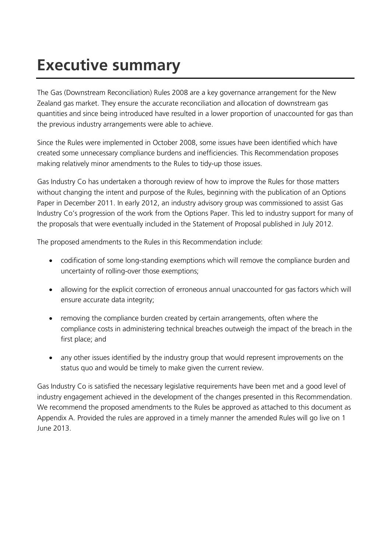#### **Executive summary**

The Gas (Downstream Reconciliation) Rules 2008 are a key governance arrangement for the New Zealand gas market. They ensure the accurate reconciliation and allocation of downstream gas quantities and since being introduced have resulted in a lower proportion of unaccounted for gas than the previous industry arrangements were able to achieve.

Since the Rules were implemented in October 2008, some issues have been identified which have created some unnecessary compliance burdens and inefficiencies. This Recommendation proposes making relatively minor amendments to the Rules to tidy-up those issues.

Gas Industry Co has undertaken a thorough review of how to improve the Rules for those matters without changing the intent and purpose of the Rules, beginning with the publication of an Options Paper in December 2011. In early 2012, an industry advisory group was commissioned to assist Gas Industry Co's progression of the work from the Options Paper. This led to industry support for many of the proposals that were eventually included in the Statement of Proposal published in July 2012.

The proposed amendments to the Rules in this Recommendation include:

- codification of some long-standing exemptions which will remove the compliance burden and uncertainty of rolling-over those exemptions;
- allowing for the explicit correction of erroneous annual unaccounted for gas factors which will ensure accurate data integrity;
- removing the compliance burden created by certain arrangements, often where the compliance costs in administering technical breaches outweigh the impact of the breach in the first place; and
- any other issues identified by the industry group that would represent improvements on the status quo and would be timely to make given the current review.

Gas Industry Co is satisfied the necessary legislative requirements have been met and a good level of industry engagement achieved in the development of the changes presented in this Recommendation. We recommend the proposed amendments to the Rules be approved as attached to this document as Appendix A. Provided the rules are approved in a timely manner the amended Rules will go live on 1 June 2013.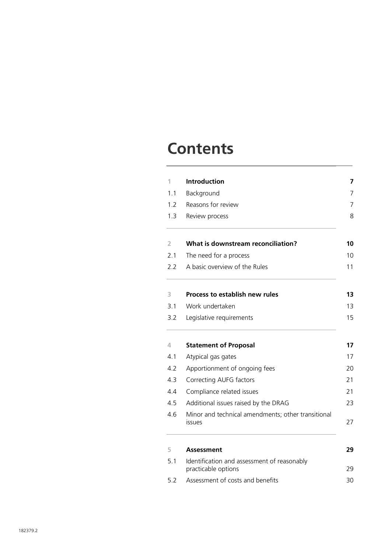#### **Contents**

| 1                                           | Introduction<br>Background<br>Reasons for review<br>Review process  |  |  |  |  |  |
|---------------------------------------------|---------------------------------------------------------------------|--|--|--|--|--|
| 1.1                                         |                                                                     |  |  |  |  |  |
| 1.2                                         |                                                                     |  |  |  |  |  |
| 1.3                                         |                                                                     |  |  |  |  |  |
| 2                                           | What is downstream reconciliation?                                  |  |  |  |  |  |
| 2.1                                         | The need for a process                                              |  |  |  |  |  |
| 2.2                                         | A basic overview of the Rules                                       |  |  |  |  |  |
| 3                                           | <b>Process to establish new rules</b>                               |  |  |  |  |  |
| 3.1                                         | Work undertaken                                                     |  |  |  |  |  |
| 3.2                                         | Legislative requirements                                            |  |  |  |  |  |
| 4                                           | <b>Statement of Proposal</b>                                        |  |  |  |  |  |
| 4.1                                         | Atypical gas gates                                                  |  |  |  |  |  |
| 4.2                                         | Apportionment of ongoing fees                                       |  |  |  |  |  |
| 4.3                                         | Correcting AUFG factors                                             |  |  |  |  |  |
| 4.4                                         | Compliance related issues                                           |  |  |  |  |  |
| 4.5<br>Additional issues raised by the DRAG |                                                                     |  |  |  |  |  |
| 4.6                                         | Minor and technical amendments; other transitional<br><b>issues</b> |  |  |  |  |  |
|                                             |                                                                     |  |  |  |  |  |
| 5                                           | <b>Assessment</b>                                                   |  |  |  |  |  |
| 5.1                                         | Identification and assessment of reasonably<br>practicable options  |  |  |  |  |  |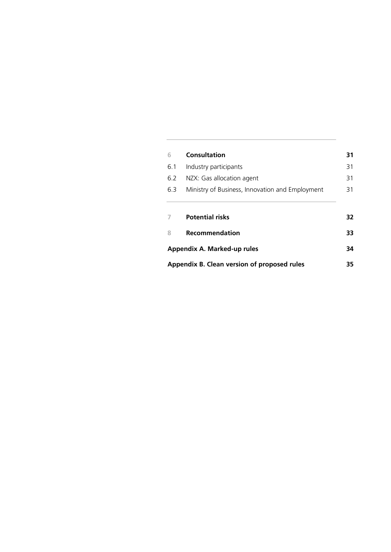| 6   | <b>Consultation</b>                             | 31 |  |  |
|-----|-------------------------------------------------|----|--|--|
| 6.1 | Industry participants                           | 31 |  |  |
| 6.2 | NZX: Gas allocation agent                       | 31 |  |  |
| 6.3 | Ministry of Business, Innovation and Employment |    |  |  |
|     |                                                 |    |  |  |
|     |                                                 |    |  |  |
|     | <b>Potential risks</b>                          | 32 |  |  |
| 8   | <b>Recommendation</b>                           | 33 |  |  |
|     | Appendix A. Marked-up rules                     | 34 |  |  |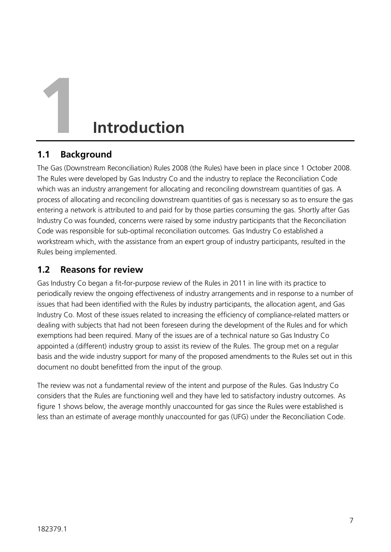## **1 Introduction**

#### **1.1 Background**

The Gas (Downstream Reconciliation) Rules 2008 (the Rules) have been in place since 1 October 2008. The Rules were developed by Gas Industry Co and the industry to replace the Reconciliation Code which was an industry arrangement for allocating and reconciling downstream quantities of gas. A process of allocating and reconciling downstream quantities of gas is necessary so as to ensure the gas entering a network is attributed to and paid for by those parties consuming the gas. Shortly after Gas Industry Co was founded, concerns were raised by some industry participants that the Reconciliation Code was responsible for sub-optimal reconciliation outcomes. Gas Industry Co established a workstream which, with the assistance from an expert group of industry participants, resulted in the Rules being implemented.

#### **1.2 Reasons for review**

Gas Industry Co began a fit-for-purpose review of the Rules in 2011 in line with its practice to periodically review the ongoing effectiveness of industry arrangements and in response to a number of issues that had been identified with the Rules by industry participants, the allocation agent, and Gas Industry Co. Most of these issues related to increasing the efficiency of compliance-related matters or dealing with subjects that had not been foreseen during the development of the Rules and for which exemptions had been required. Many of the issues are of a technical nature so Gas Industry Co appointed a (different) industry group to assist its review of the Rules. The group met on a regular basis and the wide industry support for many of the proposed amendments to the Rules set out in this document no doubt benefitted from the input of the group.

The review was not a fundamental review of the intent and purpose of the Rules. Gas Industry Co considers that the Rules are functioning well and they have led to satisfactory industry outcomes. As figure 1 shows below, the average monthly unaccounted for gas since the Rules were established is less than an estimate of average monthly unaccounted for gas (UFG) under the Reconciliation Code.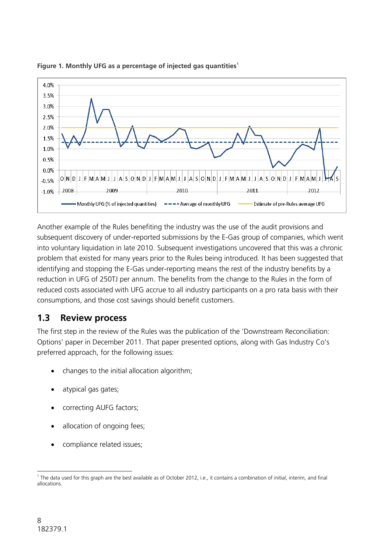

#### **Figure 1. Monthly UFG as a percentage of injected gas quantities<sup>1</sup>**

Another example of the Rules benefiting the industry was the use of the audit provisions and subsequent discovery of under-reported submissions by the E-Gas group of companies, which went into voluntary liquidation in late 2010. Subsequent investigations uncovered that this was a chronic problem that existed for many years prior to the Rules being introduced. It has been suggested that identifying and stopping the E-Gas under-reporting means the rest of the industry benefits by a reduction in UFG of 250TJ per annum. The benefits from the change to the Rules in the form of reduced costs associated with UFG accrue to all industry participants on a pro rata basis with their consumptions, and those cost savings should benefit customers.

#### **1.3 Review process**

The first step in the review of the Rules was the publication of the 'Downstream Reconciliation: Options' paper in December 2011. That paper presented options, along with Gas Industry Co's preferred approach, for the following issues:

- changes to the initial allocation algorithm;
- atypical gas gates;
- correcting AUFG factors;
- allocation of ongoing fees;
- compliance related issues;

 1 The data used for this graph are the best available as of October 2012, i.e., it contains a combination of initial, interim, and final allocations.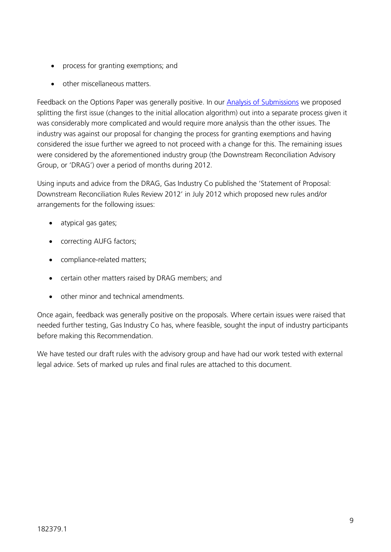- process for granting exemptions; and
- other miscellaneous matters.

Feedback on the Options Paper was generally positive. In our **Analysis of Submissions** we proposed splitting the first issue (changes to the initial allocation algorithm) out into a separate process given it was considerably more complicated and would require more analysis than the other issues. The industry was against our proposal for changing the process for granting exemptions and having considered the issue further we agreed to not proceed with a change for this. The remaining issues were considered by the aforementioned industry group (the Downstream Reconciliation Advisory Group, or 'DRAG') over a period of months during 2012.

Using inputs and advice from the DRAG, Gas Industry Co published the 'Statement of Proposal: Downstream Reconciliation Rules Review 2012' in July 2012 which proposed new rules and/or arrangements for the following issues:

- atypical gas gates;
- correcting AUFG factors;
- compliance-related matters;
- certain other matters raised by DRAG members; and
- other minor and technical amendments.

Once again, feedback was generally positive on the proposals. Where certain issues were raised that needed further testing, Gas Industry Co has, where feasible, sought the input of industry participants before making this Recommendation.

We have tested our draft rules with the advisory group and have had our work tested with external legal advice. Sets of marked up rules and final rules are attached to this document.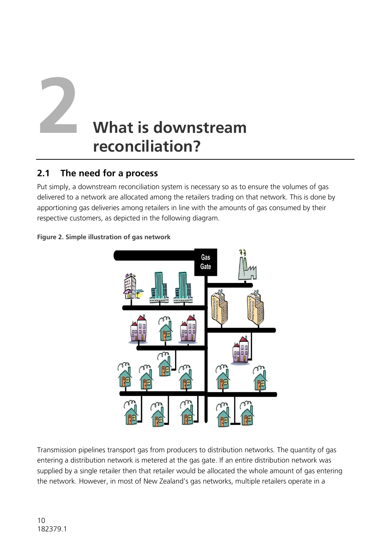### **2 What is downstream reconciliation?**

#### **2.1 The need for a process**

Put simply, a downstream reconciliation system is necessary so as to ensure the volumes of gas delivered to a network are allocated among the retailers trading on that network. This is done by apportioning gas deliveries among retailers in line with the amounts of gas consumed by their respective customers, as depicted in the following diagram.



#### **Figure 2. Simple illustration of gas network**

Transmission pipelines transport gas from producers to distribution networks. The quantity of gas entering a distribution network is metered at the gas gate. If an entire distribution network was supplied by a single retailer then that retailer would be allocated the whole amount of gas entering the network. However, in most of New Zealand's gas networks, multiple retailers operate in a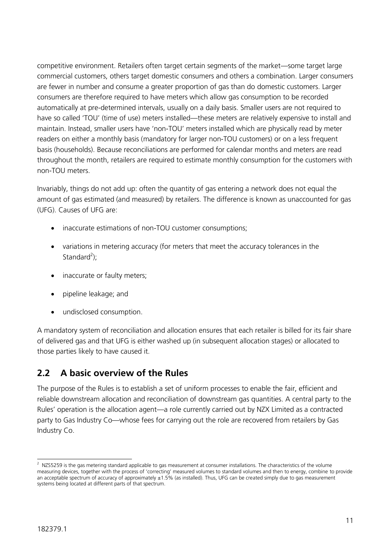competitive environment. Retailers often target certain segments of the market—some target large commercial customers, others target domestic consumers and others a combination. Larger consumers are fewer in number and consume a greater proportion of gas than do domestic customers. Larger consumers are therefore required to have meters which allow gas consumption to be recorded automatically at pre-determined intervals, usually on a daily basis. Smaller users are not required to have so called 'TOU' (time of use) meters installed—these meters are relatively expensive to install and maintain. Instead, smaller users have 'non-TOU' meters installed which are physically read by meter readers on either a monthly basis (mandatory for larger non-TOU customers) or on a less frequent basis (households). Because reconciliations are performed for calendar months and meters are read throughout the month, retailers are required to estimate monthly consumption for the customers with non-TOU meters.

Invariably, things do not add up: often the quantity of gas entering a network does not equal the amount of gas estimated (and measured) by retailers. The difference is known as unaccounted for gas (UFG). Causes of UFG are:

- inaccurate estimations of non-TOU customer consumptions;
- variations in metering accuracy (for meters that meet the accuracy tolerances in the Standard<sup>2</sup>);
- inaccurate or faulty meters;
- pipeline leakage; and
- undisclosed consumption.

A mandatory system of reconciliation and allocation ensures that each retailer is billed for its fair share of delivered gas and that UFG is either washed up (in subsequent allocation stages) or allocated to those parties likely to have caused it.

#### **2.2 A basic overview of the Rules**

The purpose of the Rules is to establish a set of uniform processes to enable the fair, efficient and reliable downstream allocation and reconciliation of downstream gas quantities. A central party to the Rules' operation is the allocation agent—a role currently carried out by NZX Limited as a contracted party to Gas Industry Co—whose fees for carrying out the role are recovered from retailers by Gas Industry Co.

 2 NZS5259 is the gas metering standard applicable to gas measurement at consumer installations. The characteristics of the volume measuring devices, together with the process of 'correcting' measured volumes to standard volumes and then to energy, combine to provide an acceptable spectrum of accuracy of approximately ±1.5% (as installed). Thus, UFG can be created simply due to gas measurement systems being located at different parts of that spectrum.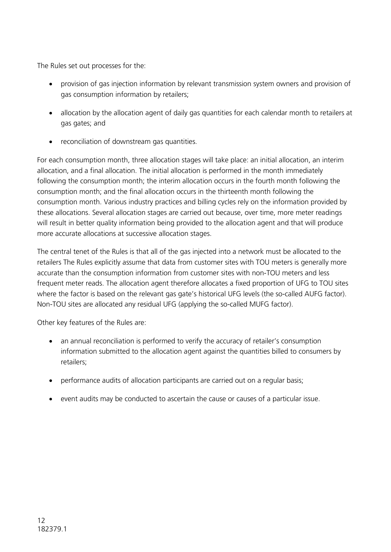The Rules set out processes for the:

- provision of gas injection information by relevant transmission system owners and provision of gas consumption information by retailers;
- allocation by the allocation agent of daily gas quantities for each calendar month to retailers at gas gates; and
- reconciliation of downstream gas quantities.

For each consumption month, three allocation stages will take place: an initial allocation, an interim allocation, and a final allocation. The initial allocation is performed in the month immediately following the consumption month; the interim allocation occurs in the fourth month following the consumption month; and the final allocation occurs in the thirteenth month following the consumption month. Various industry practices and billing cycles rely on the information provided by these allocations. Several allocation stages are carried out because, over time, more meter readings will result in better quality information being provided to the allocation agent and that will produce more accurate allocations at successive allocation stages.

The central tenet of the Rules is that all of the gas injected into a network must be allocated to the retailers The Rules explicitly assume that data from customer sites with TOU meters is generally more accurate than the consumption information from customer sites with non-TOU meters and less frequent meter reads. The allocation agent therefore allocates a fixed proportion of UFG to TOU sites where the factor is based on the relevant gas gate's historical UFG levels (the so-called AUFG factor). Non-TOU sites are allocated any residual UFG (applying the so-called MUFG factor).

Other key features of the Rules are:

- an annual reconciliation is performed to verify the accuracy of retailer's consumption information submitted to the allocation agent against the quantities billed to consumers by retailers;
- performance audits of allocation participants are carried out on a regular basis;
- event audits may be conducted to ascertain the cause or causes of a particular issue.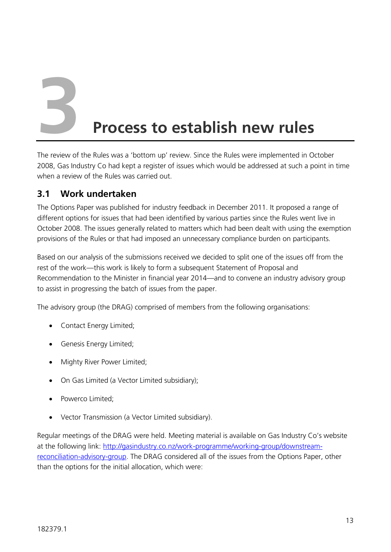#### **3 Process to establish new rules**

The review of the Rules was a 'bottom up' review. Since the Rules were implemented in October 2008, Gas Industry Co had kept a register of issues which would be addressed at such a point in time when a review of the Rules was carried out.

#### **3.1 Work undertaken**

The Options Paper was published for industry feedback in December 2011. It proposed a range of different options for issues that had been identified by various parties since the Rules went live in October 2008. The issues generally related to matters which had been dealt with using the exemption provisions of the Rules or that had imposed an unnecessary compliance burden on participants.

Based on our analysis of the submissions received we decided to split one of the issues off from the rest of the work—this work is likely to form a subsequent Statement of Proposal and Recommendation to the Minister in financial year 2014—and to convene an industry advisory group to assist in progressing the batch of issues from the paper.

The advisory group (the DRAG) comprised of members from the following organisations:

- Contact Energy Limited;
- Genesis Energy Limited;
- Mighty River Power Limited;
- On Gas Limited (a Vector Limited subsidiary);
- Powerco Limited;
- Vector Transmission (a Vector Limited subsidiary).

Regular meetings of the DRAG were held. Meeting material is available on Gas Industry Co's website at the following link: [http://gasindustry.co.nz/work-programme/working-group/downstream](http://gasindustry.co.nz/work-programme/working-group/downstream-reconciliation-advisory-group)[reconciliation-advisory-group.](http://gasindustry.co.nz/work-programme/working-group/downstream-reconciliation-advisory-group) The DRAG considered all of the issues from the Options Paper, other than the options for the initial allocation, which were: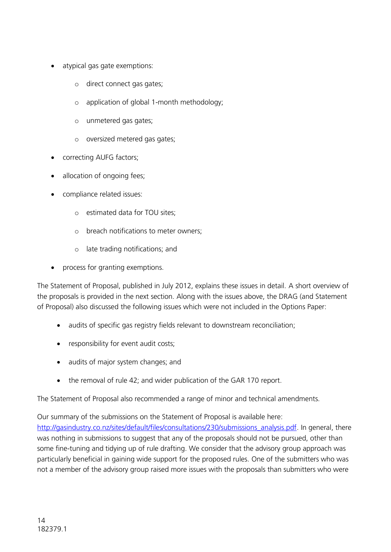- atypical gas gate exemptions:
	- o direct connect gas gates;
	- o application of global 1-month methodology;
	- o unmetered gas gates;
	- o oversized metered gas gates;
- correcting AUFG factors;
- allocation of ongoing fees;
- compliance related issues:
	- o estimated data for TOU sites;
	- o breach notifications to meter owners;
	- o late trading notifications; and
- process for granting exemptions.

The Statement of Proposal, published in July 2012, explains these issues in detail. A short overview of the proposals is provided in the next section. Along with the issues above, the DRAG (and Statement of Proposal) also discussed the following issues which were not included in the Options Paper:

- audits of specific gas registry fields relevant to downstream reconciliation;
- responsibility for event audit costs;
- audits of major system changes; and
- the removal of rule 42; and wider publication of the GAR 170 report.

The Statement of Proposal also recommended a range of minor and technical amendments.

Our summary of the submissions on the Statement of Proposal is available here:

[http://gasindustry.co.nz/sites/default/files/consultations/230/submissions\\_analysis.pdf.](http://gasindustry.co.nz/sites/default/files/consultations/230/submissions_analysis.pdf) In general, there was nothing in submissions to suggest that any of the proposals should not be pursued, other than some fine-tuning and tidying up of rule drafting. We consider that the advisory group approach was particularly beneficial in gaining wide support for the proposed rules. One of the submitters who was not a member of the advisory group raised more issues with the proposals than submitters who were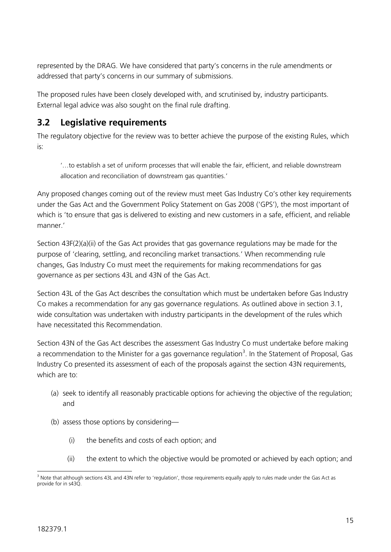represented by the DRAG. We have considered that party's concerns in the rule amendments or addressed that party's concerns in our summary of submissions.

The proposed rules have been closely developed with, and scrutinised by, industry participants. External legal advice was also sought on the final rule drafting.

#### **3.2 Legislative requirements**

The regulatory objective for the review was to better achieve the purpose of the existing Rules, which is:

'…to establish a set of uniform processes that will enable the fair, efficient, and reliable downstream allocation and reconciliation of downstream gas quantities.'

Any proposed changes coming out of the review must meet Gas Industry Co's other key requirements under the Gas Act and the Government Policy Statement on Gas 2008 ('GPS'), the most important of which is 'to ensure that gas is delivered to existing and new customers in a safe, efficient, and reliable manner.'

Section 43F(2)(a)(ii) of the Gas Act provides that gas governance regulations may be made for the purpose of 'clearing, settling, and reconciling market transactions.' When recommending rule changes, Gas Industry Co must meet the requirements for making recommendations for gas governance as per sections 43L and 43N of the Gas Act.

Section 43L of the Gas Act describes the consultation which must be undertaken before Gas Industry Co makes a recommendation for any gas governance regulations. As outlined above in section 3.1, wide consultation was undertaken with industry participants in the development of the rules which have necessitated this Recommendation.

Section 43N of the Gas Act describes the assessment Gas Industry Co must undertake before making a recommendation to the Minister for a gas governance regulation<sup>3</sup>. In the Statement of Proposal, Gas Industry Co presented its assessment of each of the proposals against the section 43N requirements, which are to:

- (a) seek to identify all reasonably practicable options for achieving the objective of the regulation; and
- (b) assess those options by considering—
	- (i) the benefits and costs of each option; and
	- (ii) the extent to which the objective would be promoted or achieved by each option; and

<sup>-</sup><sup>3</sup> Note that although sections 43L and 43N refer to 'regulation', those requirements equally apply to rules made under the Gas Act as provide for in s43Q.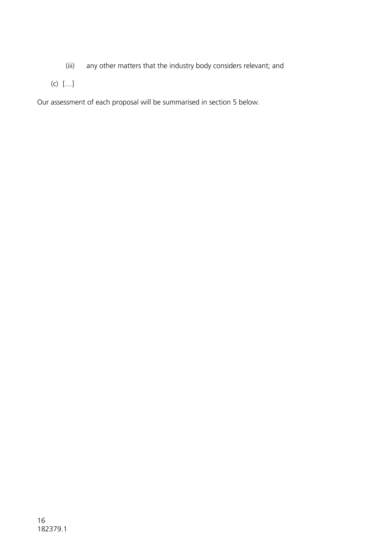- (iii) any other matters that the industry body considers relevant; and
- (c) […]

Our assessment of each proposal will be summarised in section 5 below.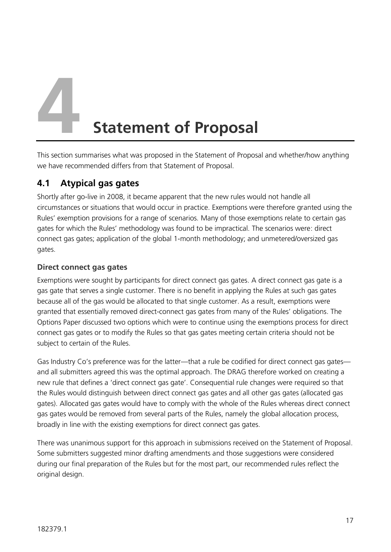**4 Statement of Proposal**

This section summarises what was proposed in the Statement of Proposal and whether/how anything we have recommended differs from that Statement of Proposal.

#### **4.1 Atypical gas gates**

Shortly after go-live in 2008, it became apparent that the new rules would not handle all circumstances or situations that would occur in practice. Exemptions were therefore granted using the Rules' exemption provisions for a range of scenarios. Many of those exemptions relate to certain gas gates for which the Rules' methodology was found to be impractical. The scenarios were: direct connect gas gates; application of the global 1-month methodology; and unmetered/oversized gas gates.

#### **Direct connect gas gates**

Exemptions were sought by participants for direct connect gas gates. A direct connect gas gate is a gas gate that serves a single customer. There is no benefit in applying the Rules at such gas gates because all of the gas would be allocated to that single customer. As a result, exemptions were granted that essentially removed direct-connect gas gates from many of the Rules' obligations. The Options Paper discussed two options which were to continue using the exemptions process for direct connect gas gates or to modify the Rules so that gas gates meeting certain criteria should not be subject to certain of the Rules.

Gas Industry Co's preference was for the latter—that a rule be codified for direct connect gas gates and all submitters agreed this was the optimal approach. The DRAG therefore worked on creating a new rule that defines a 'direct connect gas gate'. Consequential rule changes were required so that the Rules would distinguish between direct connect gas gates and all other gas gates (allocated gas gates). Allocated gas gates would have to comply with the whole of the Rules whereas direct connect gas gates would be removed from several parts of the Rules, namely the global allocation process, broadly in line with the existing exemptions for direct connect gas gates.

There was unanimous support for this approach in submissions received on the Statement of Proposal. Some submitters suggested minor drafting amendments and those suggestions were considered during our final preparation of the Rules but for the most part, our recommended rules reflect the original design.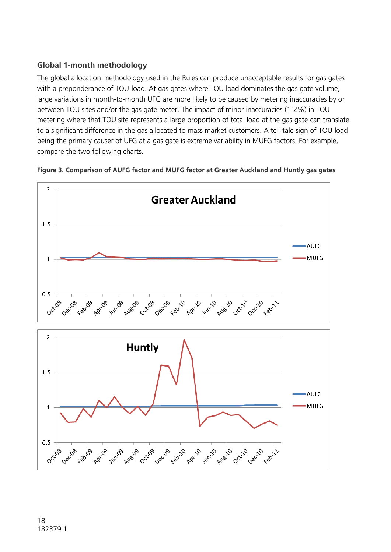#### **Global 1-month methodology**

The global allocation methodology used in the Rules can produce unacceptable results for gas gates with a preponderance of TOU-load. At gas gates where TOU load dominates the gas gate volume, large variations in month-to-month UFG are more likely to be caused by metering inaccuracies by or between TOU sites and/or the gas gate meter. The impact of minor inaccuracies (1-2%) in TOU metering where that TOU site represents a large proportion of total load at the gas gate can translate to a significant difference in the gas allocated to mass market customers. A tell-tale sign of TOU-load being the primary causer of UFG at a gas gate is extreme variability in MUFG factors. For example, compare the two following charts.



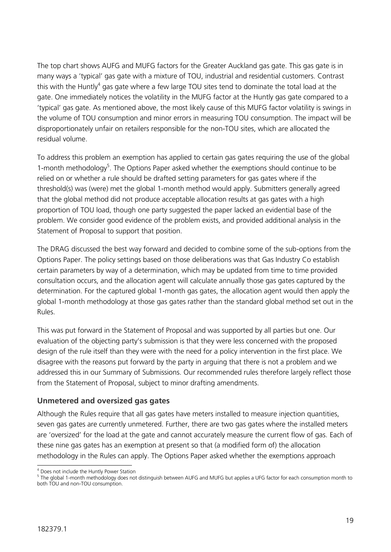The top chart shows AUFG and MUFG factors for the Greater Auckland gas gate. This gas gate is in many ways a 'typical' gas gate with a mixture of TOU, industrial and residential customers. Contrast this with the Huntly<sup>4</sup> gas gate where a few large TOU sites tend to dominate the total load at the gate. One immediately notices the volatility in the MUFG factor at the Huntly gas gate compared to a 'typical' gas gate. As mentioned above, the most likely cause of this MUFG factor volatility is swings in the volume of TOU consumption and minor errors in measuring TOU consumption. The impact will be disproportionately unfair on retailers responsible for the non-TOU sites, which are allocated the residual volume.

To address this problem an exemption has applied to certain gas gates requiring the use of the global 1-month methodology<sup>5</sup>. The Options Paper asked whether the exemptions should continue to be relied on or whether a rule should be drafted setting parameters for gas gates where if the threshold(s) was (were) met the global 1-month method would apply. Submitters generally agreed that the global method did not produce acceptable allocation results at gas gates with a high proportion of TOU load, though one party suggested the paper lacked an evidential base of the problem. We consider good evidence of the problem exists, and provided additional analysis in the Statement of Proposal to support that position.

The DRAG discussed the best way forward and decided to combine some of the sub-options from the Options Paper. The policy settings based on those deliberations was that Gas Industry Co establish certain parameters by way of a determination, which may be updated from time to time provided consultation occurs, and the allocation agent will calculate annually those gas gates captured by the determination. For the captured global 1-month gas gates, the allocation agent would then apply the global 1-month methodology at those gas gates rather than the standard global method set out in the Rules.

This was put forward in the Statement of Proposal and was supported by all parties but one. Our evaluation of the objecting party's submission is that they were less concerned with the proposed design of the rule itself than they were with the need for a policy intervention in the first place. We disagree with the reasons put forward by the party in arguing that there is not a problem and we addressed this in our Summary of Submissions. Our recommended rules therefore largely reflect those from the Statement of Proposal, subject to minor drafting amendments.

#### **Unmetered and oversized gas gates**

Although the Rules require that all gas gates have meters installed to measure injection quantities, seven gas gates are currently unmetered. Further, there are two gas gates where the installed meters are 'oversized' for the load at the gate and cannot accurately measure the current flow of gas. Each of these nine gas gates has an exemption at present so that (a modified form of) the allocation methodology in the Rules can apply. The Options Paper asked whether the exemptions approach

<sup>-</sup><sup>4</sup> Does not include the Huntly Power Station

<sup>&</sup>lt;sup>5</sup> The global 1-month methodology does not distinguish between AUFG and MUFG but applies a UFG factor for each consumption month to both TOU and non-TOU consumption.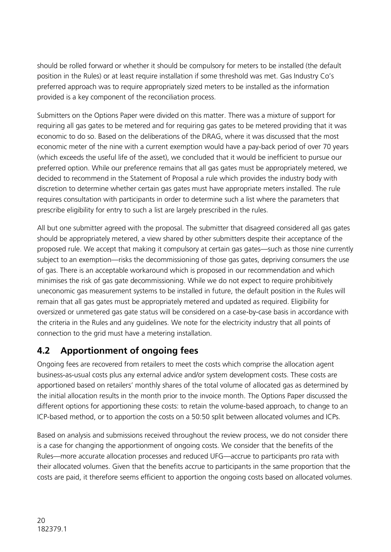should be rolled forward or whether it should be compulsory for meters to be installed (the default position in the Rules) or at least require installation if some threshold was met. Gas Industry Co's preferred approach was to require appropriately sized meters to be installed as the information provided is a key component of the reconciliation process.

Submitters on the Options Paper were divided on this matter. There was a mixture of support for requiring all gas gates to be metered and for requiring gas gates to be metered providing that it was economic to do so. Based on the deliberations of the DRAG, where it was discussed that the most economic meter of the nine with a current exemption would have a pay-back period of over 70 years (which exceeds the useful life of the asset), we concluded that it would be inefficient to pursue our preferred option. While our preference remains that all gas gates must be appropriately metered, we decided to recommend in the Statement of Proposal a rule which provides the industry body with discretion to determine whether certain gas gates must have appropriate meters installed. The rule requires consultation with participants in order to determine such a list where the parameters that prescribe eligibility for entry to such a list are largely prescribed in the rules.

All but one submitter agreed with the proposal. The submitter that disagreed considered all gas gates should be appropriately metered, a view shared by other submitters despite their acceptance of the proposed rule. We accept that making it compulsory at certain gas gates—such as those nine currently subject to an exemption—risks the decommissioning of those gas gates, depriving consumers the use of gas. There is an acceptable workaround which is proposed in our recommendation and which minimises the risk of gas gate decommissioning. While we do not expect to require prohibitively uneconomic gas measurement systems to be installed in future, the default position in the Rules will remain that all gas gates must be appropriately metered and updated as required. Eligibility for oversized or unmetered gas gate status will be considered on a case-by-case basis in accordance with the criteria in the Rules and any guidelines. We note for the electricity industry that all points of connection to the grid must have a metering installation.

#### **4.2 Apportionment of ongoing fees**

Ongoing fees are recovered from retailers to meet the costs which comprise the allocation agent business-as-usual costs plus any external advice and/or system development costs. These costs are apportioned based on retailers' monthly shares of the total volume of allocated gas as determined by the initial allocation results in the month prior to the invoice month. The Options Paper discussed the different options for apportioning these costs: to retain the volume-based approach, to change to an ICP-based method, or to apportion the costs on a 50:50 split between allocated volumes and ICPs.

Based on analysis and submissions received throughout the review process, we do not consider there is a case for changing the apportionment of ongoing costs. We consider that the benefits of the Rules—more accurate allocation processes and reduced UFG—accrue to participants pro rata with their allocated volumes. Given that the benefits accrue to participants in the same proportion that the costs are paid, it therefore seems efficient to apportion the ongoing costs based on allocated volumes.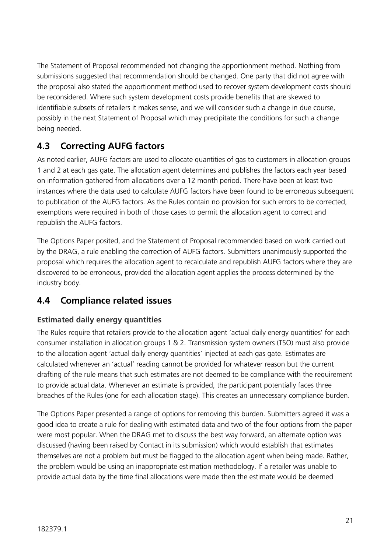The Statement of Proposal recommended not changing the apportionment method. Nothing from submissions suggested that recommendation should be changed. One party that did not agree with the proposal also stated the apportionment method used to recover system development costs should be reconsidered. Where such system development costs provide benefits that are skewed to identifiable subsets of retailers it makes sense, and we will consider such a change in due course, possibly in the next Statement of Proposal which may precipitate the conditions for such a change being needed.

#### **4.3 Correcting AUFG factors**

As noted earlier, AUFG factors are used to allocate quantities of gas to customers in allocation groups 1 and 2 at each gas gate. The allocation agent determines and publishes the factors each year based on information gathered from allocations over a 12 month period. There have been at least two instances where the data used to calculate AUFG factors have been found to be erroneous subsequent to publication of the AUFG factors. As the Rules contain no provision for such errors to be corrected, exemptions were required in both of those cases to permit the allocation agent to correct and republish the AUFG factors.

The Options Paper posited, and the Statement of Proposal recommended based on work carried out by the DRAG, a rule enabling the correction of AUFG factors. Submitters unanimously supported the proposal which requires the allocation agent to recalculate and republish AUFG factors where they are discovered to be erroneous, provided the allocation agent applies the process determined by the industry body.

#### **4.4 Compliance related issues**

#### **Estimated daily energy quantities**

The Rules require that retailers provide to the allocation agent 'actual daily energy quantities' for each consumer installation in allocation groups 1 & 2. Transmission system owners (TSO) must also provide to the allocation agent 'actual daily energy quantities' injected at each gas gate. Estimates are calculated whenever an 'actual' reading cannot be provided for whatever reason but the current drafting of the rule means that such estimates are not deemed to be compliance with the requirement to provide actual data. Whenever an estimate is provided, the participant potentially faces three breaches of the Rules (one for each allocation stage). This creates an unnecessary compliance burden.

The Options Paper presented a range of options for removing this burden. Submitters agreed it was a good idea to create a rule for dealing with estimated data and two of the four options from the paper were most popular. When the DRAG met to discuss the best way forward, an alternate option was discussed (having been raised by Contact in its submission) which would establish that estimates themselves are not a problem but must be flagged to the allocation agent when being made. Rather, the problem would be using an inappropriate estimation methodology. If a retailer was unable to provide actual data by the time final allocations were made then the estimate would be deemed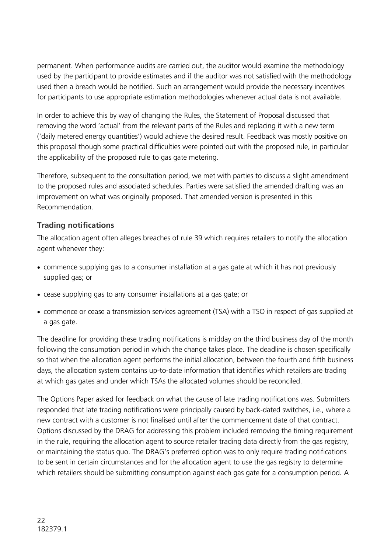permanent. When performance audits are carried out, the auditor would examine the methodology used by the participant to provide estimates and if the auditor was not satisfied with the methodology used then a breach would be notified. Such an arrangement would provide the necessary incentives for participants to use appropriate estimation methodologies whenever actual data is not available.

In order to achieve this by way of changing the Rules, the Statement of Proposal discussed that removing the word 'actual' from the relevant parts of the Rules and replacing it with a new term ('daily metered energy quantities') would achieve the desired result. Feedback was mostly positive on this proposal though some practical difficulties were pointed out with the proposed rule, in particular the applicability of the proposed rule to gas gate metering.

Therefore, subsequent to the consultation period, we met with parties to discuss a slight amendment to the proposed rules and associated schedules. Parties were satisfied the amended drafting was an improvement on what was originally proposed. That amended version is presented in this Recommendation.

#### **Trading notifications**

The allocation agent often alleges breaches of rule 39 which requires retailers to notify the allocation agent whenever they:

- commence supplying gas to a consumer installation at a gas gate at which it has not previously supplied gas; or
- cease supplying gas to any consumer installations at a gas gate; or
- commence or cease a transmission services agreement (TSA) with a TSO in respect of gas supplied at a gas gate.

The deadline for providing these trading notifications is midday on the third business day of the month following the consumption period in which the change takes place. The deadline is chosen specifically so that when the allocation agent performs the initial allocation, between the fourth and fifth business days, the allocation system contains up-to-date information that identifies which retailers are trading at which gas gates and under which TSAs the allocated volumes should be reconciled.

The Options Paper asked for feedback on what the cause of late trading notifications was. Submitters responded that late trading notifications were principally caused by back-dated switches, i.e., where a new contract with a customer is not finalised until after the commencement date of that contract. Options discussed by the DRAG for addressing this problem included removing the timing requirement in the rule, requiring the allocation agent to source retailer trading data directly from the gas registry, or maintaining the status quo. The DRAG's preferred option was to only require trading notifications to be sent in certain circumstances and for the allocation agent to use the gas registry to determine which retailers should be submitting consumption against each gas gate for a consumption period. A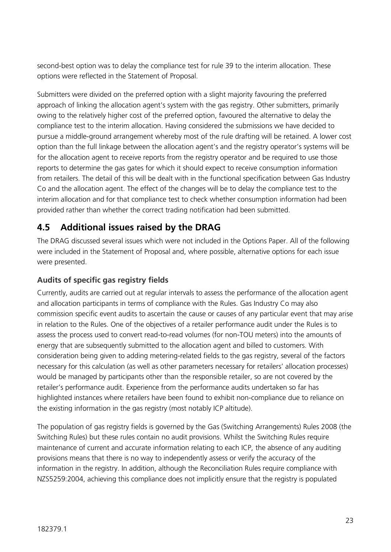second-best option was to delay the compliance test for rule 39 to the interim allocation. These options were reflected in the Statement of Proposal.

Submitters were divided on the preferred option with a slight majority favouring the preferred approach of linking the allocation agent's system with the gas registry. Other submitters, primarily owing to the relatively higher cost of the preferred option, favoured the alternative to delay the compliance test to the interim allocation. Having considered the submissions we have decided to pursue a middle-ground arrangement whereby most of the rule drafting will be retained. A lower cost option than the full linkage between the allocation agent's and the registry operator's systems will be for the allocation agent to receive reports from the registry operator and be required to use those reports to determine the gas gates for which it should expect to receive consumption information from retailers. The detail of this will be dealt with in the functional specification between Gas Industry Co and the allocation agent. The effect of the changes will be to delay the compliance test to the interim allocation and for that compliance test to check whether consumption information had been provided rather than whether the correct trading notification had been submitted.

#### **4.5 Additional issues raised by the DRAG**

The DRAG discussed several issues which were not included in the Options Paper. All of the following were included in the Statement of Proposal and, where possible, alternative options for each issue were presented.

#### **Audits of specific gas registry fields**

Currently, audits are carried out at regular intervals to assess the performance of the allocation agent and allocation participants in terms of compliance with the Rules. Gas Industry Co may also commission specific event audits to ascertain the cause or causes of any particular event that may arise in relation to the Rules. One of the objectives of a retailer performance audit under the Rules is to assess the process used to convert read-to-read volumes (for non-TOU meters) into the amounts of energy that are subsequently submitted to the allocation agent and billed to customers. With consideration being given to adding metering-related fields to the gas registry, several of the factors necessary for this calculation (as well as other parameters necessary for retailers' allocation processes) would be managed by participants other than the responsible retailer, so are not covered by the retailer's performance audit. Experience from the performance audits undertaken so far has highlighted instances where retailers have been found to exhibit non-compliance due to reliance on the existing information in the gas registry (most notably ICP altitude).

The population of gas registry fields is governed by the Gas (Switching Arrangements) Rules 2008 (the Switching Rules) but these rules contain no audit provisions. Whilst the Switching Rules require maintenance of current and accurate information relating to each ICP, the absence of any auditing provisions means that there is no way to independently assess or verify the accuracy of the information in the registry. In addition, although the Reconciliation Rules require compliance with NZS5259:2004, achieving this compliance does not implicitly ensure that the registry is populated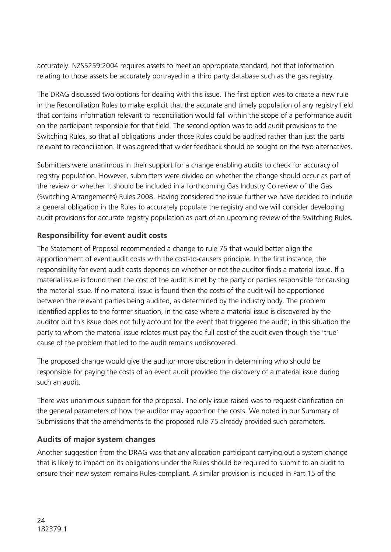accurately. NZS5259:2004 requires assets to meet an appropriate standard, not that information relating to those assets be accurately portrayed in a third party database such as the gas registry.

The DRAG discussed two options for dealing with this issue. The first option was to create a new rule in the Reconciliation Rules to make explicit that the accurate and timely population of any registry field that contains information relevant to reconciliation would fall within the scope of a performance audit on the participant responsible for that field. The second option was to add audit provisions to the Switching Rules, so that all obligations under those Rules could be audited rather than just the parts relevant to reconciliation. It was agreed that wider feedback should be sought on the two alternatives.

Submitters were unanimous in their support for a change enabling audits to check for accuracy of registry population. However, submitters were divided on whether the change should occur as part of the review or whether it should be included in a forthcoming Gas Industry Co review of the Gas (Switching Arrangements) Rules 2008. Having considered the issue further we have decided to include a general obligation in the Rules to accurately populate the registry and we will consider developing audit provisions for accurate registry population as part of an upcoming review of the Switching Rules.

#### **Responsibility for event audit costs**

The Statement of Proposal recommended a change to rule 75 that would better align the apportionment of event audit costs with the cost-to-causers principle. In the first instance, the responsibility for event audit costs depends on whether or not the auditor finds a material issue. If a material issue is found then the cost of the audit is met by the party or parties responsible for causing the material issue. If no material issue is found then the costs of the audit will be apportioned between the relevant parties being audited, as determined by the industry body. The problem identified applies to the former situation, in the case where a material issue is discovered by the auditor but this issue does not fully account for the event that triggered the audit; in this situation the party to whom the material issue relates must pay the full cost of the audit even though the 'true' cause of the problem that led to the audit remains undiscovered.

The proposed change would give the auditor more discretion in determining who should be responsible for paying the costs of an event audit provided the discovery of a material issue during such an audit.

There was unanimous support for the proposal. The only issue raised was to request clarification on the general parameters of how the auditor may apportion the costs. We noted in our Summary of Submissions that the amendments to the proposed rule 75 already provided such parameters.

#### **Audits of major system changes**

Another suggestion from the DRAG was that any allocation participant carrying out a system change that is likely to impact on its obligations under the Rules should be required to submit to an audit to ensure their new system remains Rules-compliant. A similar provision is included in Part 15 of the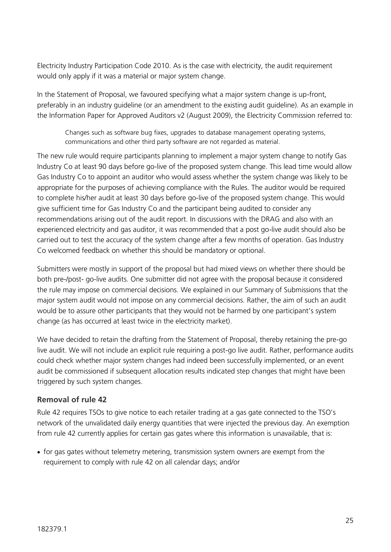Electricity Industry Participation Code 2010. As is the case with electricity, the audit requirement would only apply if it was a material or major system change.

In the Statement of Proposal, we favoured specifying what a major system change is up-front, preferably in an industry guideline (or an amendment to the existing audit guideline). As an example in the Information Paper for Approved Auditors v2 (August 2009), the Electricity Commission referred to:

Changes such as software bug fixes, upgrades to database management operating systems, communications and other third party software are not regarded as material.

The new rule would require participants planning to implement a major system change to notify Gas Industry Co at least 90 days before go-live of the proposed system change. This lead time would allow Gas Industry Co to appoint an auditor who would assess whether the system change was likely to be appropriate for the purposes of achieving compliance with the Rules. The auditor would be required to complete his/her audit at least 30 days before go-live of the proposed system change. This would give sufficient time for Gas Industry Co and the participant being audited to consider any recommendations arising out of the audit report. In discussions with the DRAG and also with an experienced electricity and gas auditor, it was recommended that a post go-live audit should also be carried out to test the accuracy of the system change after a few months of operation. Gas Industry Co welcomed feedback on whether this should be mandatory or optional.

Submitters were mostly in support of the proposal but had mixed views on whether there should be both pre-/post- go-live audits. One submitter did not agree with the proposal because it considered the rule may impose on commercial decisions. We explained in our Summary of Submissions that the major system audit would not impose on any commercial decisions. Rather, the aim of such an audit would be to assure other participants that they would not be harmed by one participant's system change (as has occurred at least twice in the electricity market).

We have decided to retain the drafting from the Statement of Proposal, thereby retaining the pre-go live audit. We will not include an explicit rule requiring a post-go live audit. Rather, performance audits could check whether major system changes had indeed been successfully implemented, or an event audit be commissioned if subsequent allocation results indicated step changes that might have been triggered by such system changes.

#### **Removal of rule 42**

Rule 42 requires TSOs to give notice to each retailer trading at a gas gate connected to the TSO's network of the unvalidated daily energy quantities that were injected the previous day. An exemption from rule 42 currently applies for certain gas gates where this information is unavailable, that is:

• for gas gates without telemetry metering, transmission system owners are exempt from the requirement to comply with rule 42 on all calendar days; and/or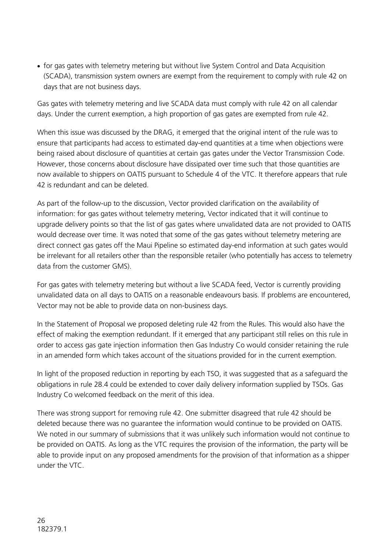for gas gates with telemetry metering but without live System Control and Data Acquisition (SCADA), transmission system owners are exempt from the requirement to comply with rule 42 on days that are not business days.

Gas gates with telemetry metering and live SCADA data must comply with rule 42 on all calendar days. Under the current exemption, a high proportion of gas gates are exempted from rule 42.

When this issue was discussed by the DRAG, it emerged that the original intent of the rule was to ensure that participants had access to estimated day-end quantities at a time when objections were being raised about disclosure of quantities at certain gas gates under the Vector Transmission Code. However, those concerns about disclosure have dissipated over time such that those quantities are now available to shippers on OATIS pursuant to Schedule 4 of the VTC. It therefore appears that rule 42 is redundant and can be deleted.

As part of the follow-up to the discussion, Vector provided clarification on the availability of information: for gas gates without telemetry metering, Vector indicated that it will continue to upgrade delivery points so that the list of gas gates where unvalidated data are not provided to OATIS would decrease over time. It was noted that some of the gas gates without telemetry metering are direct connect gas gates off the Maui Pipeline so estimated day-end information at such gates would be irrelevant for all retailers other than the responsible retailer (who potentially has access to telemetry data from the customer GMS).

For gas gates with telemetry metering but without a live SCADA feed, Vector is currently providing unvalidated data on all days to OATIS on a reasonable endeavours basis. If problems are encountered, Vector may not be able to provide data on non-business days.

In the Statement of Proposal we proposed deleting rule 42 from the Rules. This would also have the effect of making the exemption redundant. If it emerged that any participant still relies on this rule in order to access gas gate injection information then Gas Industry Co would consider retaining the rule in an amended form which takes account of the situations provided for in the current exemption.

In light of the proposed reduction in reporting by each TSO, it was suggested that as a safeguard the obligations in rule 28.4 could be extended to cover daily delivery information supplied by TSOs. Gas Industry Co welcomed feedback on the merit of this idea.

There was strong support for removing rule 42. One submitter disagreed that rule 42 should be deleted because there was no guarantee the information would continue to be provided on OATIS. We noted in our summary of submissions that it was unlikely such information would not continue to be provided on OATIS. As long as the VTC requires the provision of the information, the party will be able to provide input on any proposed amendments for the provision of that information as a shipper under the VTC.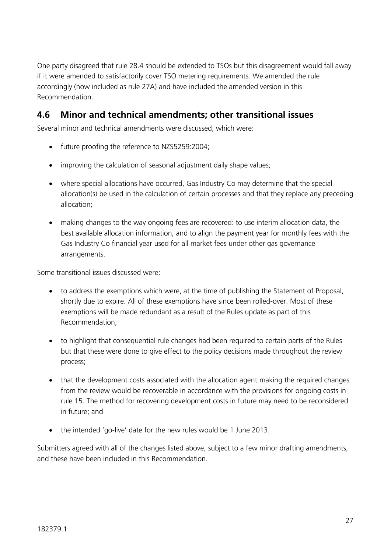One party disagreed that rule 28.4 should be extended to TSOs but this disagreement would fall away if it were amended to satisfactorily cover TSO metering requirements. We amended the rule accordingly (now included as rule 27A) and have included the amended version in this Recommendation.

#### **4.6 Minor and technical amendments; other transitional issues**

Several minor and technical amendments were discussed, which were:

- future proofing the reference to NZS5259:2004;
- improving the calculation of seasonal adjustment daily shape values;
- where special allocations have occurred, Gas Industry Co may determine that the special allocation(s) be used in the calculation of certain processes and that they replace any preceding allocation;
- making changes to the way ongoing fees are recovered: to use interim allocation data, the best available allocation information, and to align the payment year for monthly fees with the Gas Industry Co financial year used for all market fees under other gas governance arrangements.

Some transitional issues discussed were:

- to address the exemptions which were, at the time of publishing the Statement of Proposal, shortly due to expire. All of these exemptions have since been rolled-over. Most of these exemptions will be made redundant as a result of the Rules update as part of this Recommendation;
- to highlight that consequential rule changes had been required to certain parts of the Rules but that these were done to give effect to the policy decisions made throughout the review process;
- that the development costs associated with the allocation agent making the required changes from the review would be recoverable in accordance with the provisions for ongoing costs in rule 15. The method for recovering development costs in future may need to be reconsidered in future; and
- the intended 'go-live' date for the new rules would be 1 June 2013.

Submitters agreed with all of the changes listed above, subject to a few minor drafting amendments, and these have been included in this Recommendation.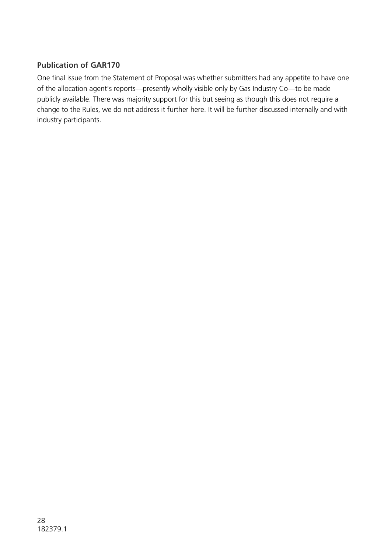#### **Publication of GAR170**

One final issue from the Statement of Proposal was whether submitters had any appetite to have one of the allocation agent's reports—presently wholly visible only by Gas Industry Co—to be made publicly available. There was majority support for this but seeing as though this does not require a change to the Rules, we do not address it further here. It will be further discussed internally and with industry participants.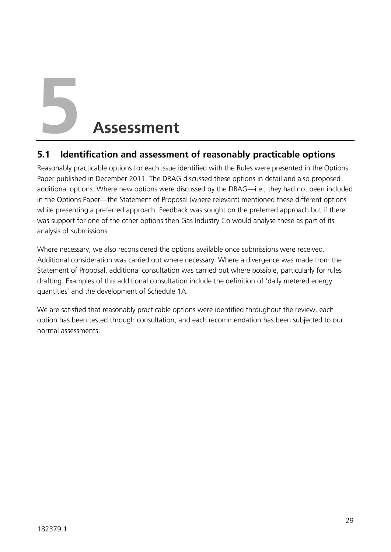**5 Assessment**

#### **5.1 Identification and assessment of reasonably practicable options**

Reasonably practicable options for each issue identified with the Rules were presented in the Options Paper published in December 2011. The DRAG discussed these options in detail and also proposed additional options. Where new options were discussed by the DRAG—i.e., they had not been included in the Options Paper—the Statement of Proposal (where relevant) mentioned these different options while presenting a preferred approach. Feedback was sought on the preferred approach but if there was support for one of the other options then Gas Industry Co would analyse these as part of its analysis of submissions.

Where necessary, we also reconsidered the options available once submissions were received. Additional consideration was carried out where necessary. Where a divergence was made from the Statement of Proposal, additional consultation was carried out where possible, particularly for rules drafting. Examples of this additional consultation include the definition of 'daily metered energy quantities' and the development of Schedule 1A.

We are satisfied that reasonably practicable options were identified throughout the review, each option has been tested through consultation, and each recommendation has been subjected to our normal assessments.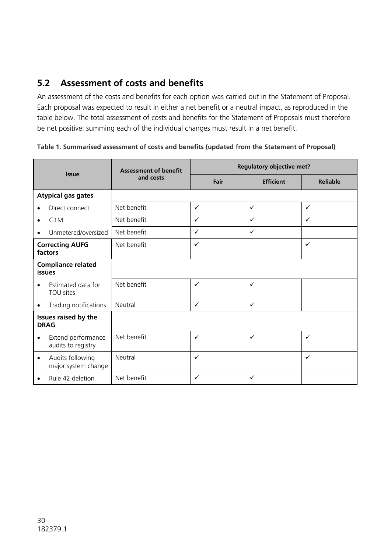#### **5.2 Assessment of costs and benefits**

An assessment of the costs and benefits for each option was carried out in the Statement of Proposal. Each proposal was expected to result in either a net benefit or a neutral impact, as reproduced in the table below. The total assessment of costs and benefits for the Statement of Proposals must therefore be net positive: summing each of the individual changes must result in a net benefit.

| <b>Issue</b>                               |                                          | <b>Assessment of benefit</b><br>and costs | <b>Regulatory objective met?</b> |                  |                 |
|--------------------------------------------|------------------------------------------|-------------------------------------------|----------------------------------|------------------|-----------------|
|                                            |                                          |                                           | Fair                             | <b>Efficient</b> | <b>Reliable</b> |
| <b>Atypical gas gates</b>                  |                                          |                                           |                                  |                  |                 |
|                                            | Direct connect                           | Net benefit                               | $\checkmark$                     | $\checkmark$     | $\checkmark$    |
| $\bullet$                                  | G <sub>1</sub> M                         | Net benefit                               | $\checkmark$                     | $\checkmark$     | $\checkmark$    |
| $\bullet$                                  | Unmetered/oversized                      | Net benefit                               | $\checkmark$                     | $\checkmark$     |                 |
| <b>Correcting AUFG</b><br>factors          |                                          | Net benefit                               | $\checkmark$                     |                  | $\checkmark$    |
| <b>Compliance related</b><br><b>issues</b> |                                          |                                           |                                  |                  |                 |
|                                            | Estimated data for<br>TOU sites          | Net benefit                               | $\checkmark$                     | $\checkmark$     |                 |
| ٠                                          | Trading notifications                    | Neutral                                   | $\checkmark$                     | $\checkmark$     |                 |
| Issues raised by the<br><b>DRAG</b>        |                                          |                                           |                                  |                  |                 |
| $\bullet$                                  | Extend performance<br>audits to registry | Net benefit                               | $\checkmark$                     | $\checkmark$     | ✓               |
| $\bullet$                                  | Audits following<br>major system change  | Neutral                                   | $\checkmark$                     |                  | $\checkmark$    |
| $\bullet$                                  | Rule 42 deletion                         | Net benefit                               | $\checkmark$                     | $\checkmark$     |                 |

**Table 1. Summarised assessment of costs and benefits (updated from the Statement of Proposal)**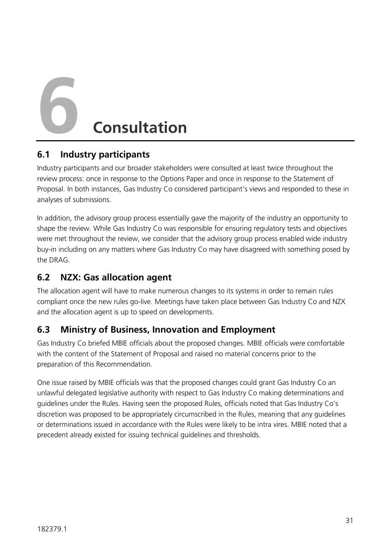**6 Consultation**

#### **6.1 Industry participants**

Industry participants and our broader stakeholders were consulted at least twice throughout the review process: once in response to the Options Paper and once in response to the Statement of Proposal. In both instances, Gas Industry Co considered participant's views and responded to these in analyses of submissions.

In addition, the advisory group process essentially gave the majority of the industry an opportunity to shape the review. While Gas Industry Co was responsible for ensuring regulatory tests and objectives were met throughout the review, we consider that the advisory group process enabled wide industry buy-in including on any matters where Gas Industry Co may have disagreed with something posed by the DRAG.

#### **6.2 NZX: Gas allocation agent**

The allocation agent will have to make numerous changes to its systems in order to remain rules compliant once the new rules go-live. Meetings have taken place between Gas Industry Co and NZX and the allocation agent is up to speed on developments.

#### **6.3 Ministry of Business, Innovation and Employment**

Gas Industry Co briefed MBIE officials about the proposed changes. MBIE officials were comfortable with the content of the Statement of Proposal and raised no material concerns prior to the preparation of this Recommendation.

One issue raised by MBIE officials was that the proposed changes could grant Gas Industry Co an unlawful delegated legislative authority with respect to Gas Industry Co making determinations and guidelines under the Rules. Having seen the proposed Rules, officials noted that Gas Industry Co's discretion was proposed to be appropriately circumscribed in the Rules, meaning that any guidelines or determinations issued in accordance with the Rules were likely to be intra vires. MBIE noted that a precedent already existed for issuing technical guidelines and thresholds.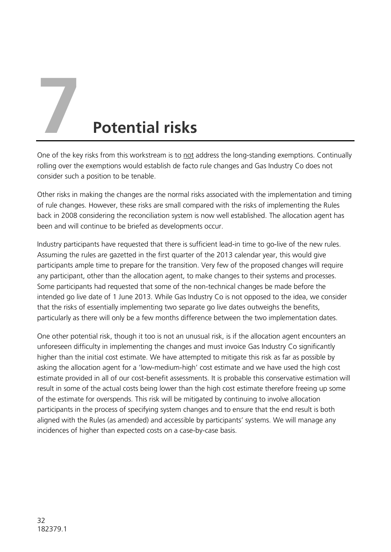#### **7 Potential risks**

One of the key risks from this workstream is to not address the long-standing exemptions. Continually rolling over the exemptions would establish de facto rule changes and Gas Industry Co does not consider such a position to be tenable.

Other risks in making the changes are the normal risks associated with the implementation and timing of rule changes. However, these risks are small compared with the risks of implementing the Rules back in 2008 considering the reconciliation system is now well established. The allocation agent has been and will continue to be briefed as developments occur.

Industry participants have requested that there is sufficient lead-in time to go-live of the new rules. Assuming the rules are gazetted in the first quarter of the 2013 calendar year, this would give participants ample time to prepare for the transition. Very few of the proposed changes will require any participant, other than the allocation agent, to make changes to their systems and processes. Some participants had requested that some of the non-technical changes be made before the intended go live date of 1 June 2013. While Gas Industry Co is not opposed to the idea, we consider that the risks of essentially implementing two separate go live dates outweighs the benefits, particularly as there will only be a few months difference between the two implementation dates.

One other potential risk, though it too is not an unusual risk, is if the allocation agent encounters an unforeseen difficulty in implementing the changes and must invoice Gas Industry Co significantly higher than the initial cost estimate. We have attempted to mitigate this risk as far as possible by asking the allocation agent for a 'low-medium-high' cost estimate and we have used the high cost estimate provided in all of our cost-benefit assessments. It is probable this conservative estimation will result in some of the actual costs being lower than the high cost estimate therefore freeing up some of the estimate for overspends. This risk will be mitigated by continuing to involve allocation participants in the process of specifying system changes and to ensure that the end result is both aligned with the Rules (as amended) and accessible by participants' systems. We will manage any incidences of higher than expected costs on a case-by-case basis.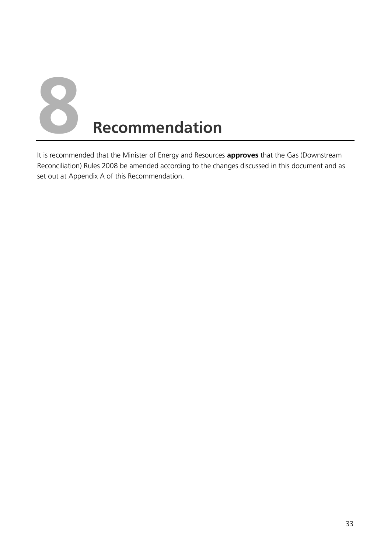

It is recommended that the Minister of Energy and Resources **approves** that the Gas (Downstream Reconciliation) Rules 2008 be amended according to the changes discussed in this document and as set out at Appendix A of this Recommendation.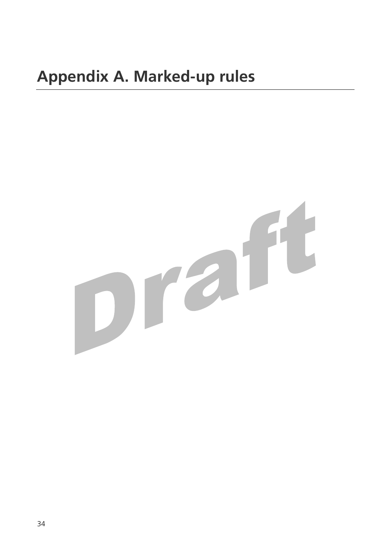# praft